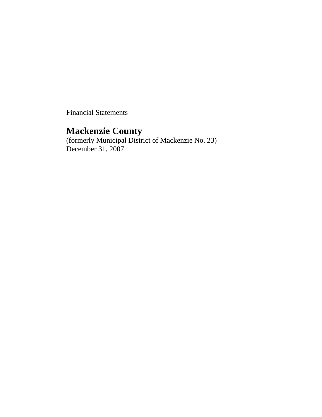Financial Statements

# **Mackenzie County**

(formerly Municipal District of Mackenzie No. 23) December 31, 2007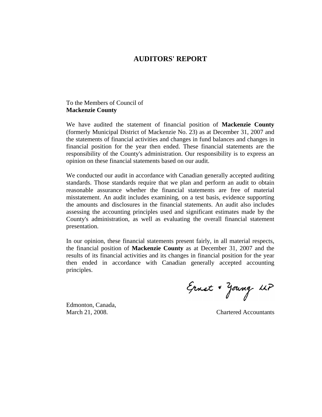## **AUDITORS' REPORT**

To the Members of Council of **Mackenzie County** 

We have audited the statement of financial position of **Mackenzie County**  (formerly Municipal District of Mackenzie No. 23) as at December 31, 2007 and the statements of financial activities and changes in fund balances and changes in financial position for the year then ended. These financial statements are the responsibility of the County's administration. Our responsibility is to express an opinion on these financial statements based on our audit.

We conducted our audit in accordance with Canadian generally accepted auditing standards. Those standards require that we plan and perform an audit to obtain reasonable assurance whether the financial statements are free of material misstatement. An audit includes examining, on a test basis, evidence supporting the amounts and disclosures in the financial statements. An audit also includes assessing the accounting principles used and significant estimates made by the County's administration, as well as evaluating the overall financial statement presentation.

In our opinion, these financial statements present fairly, in all material respects, the financial position of **Mackenzie County** as at December 31, 2007 and the results of its financial activities and its changes in financial position for the year then ended in accordance with Canadian generally accepted accounting principles.

Ernst + Young LLP

Edmonton, Canada,

March 21, 2008. Chartered Accountants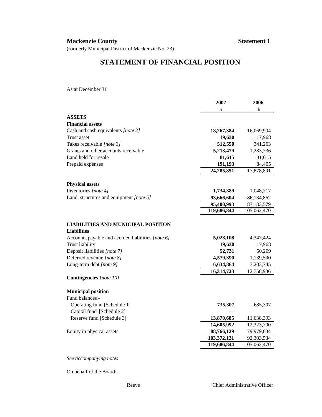## **Mackenzie County Statement 1**

(formerly Municipal District of Mackenzie No. 23)

# **STATEMENT OF FINANCIAL POSITION**

As at December 31

|                                                                 | 2007        | 2006        |
|-----------------------------------------------------------------|-------------|-------------|
|                                                                 | \$          | \$          |
| <b>ASSETS</b>                                                   |             |             |
| <b>Financial assets</b>                                         |             |             |
| Cash and cash equivalents [note 2]                              | 18,267,384  | 16,069,904  |
| Trust asset                                                     | 19,630      | 17,968      |
| Taxes receivable [note 3]                                       | 512,550     | 341,263     |
| Grants and other accounts receivable                            | 5,213,479   | 1,283,736   |
| Land held for resale                                            | 81,615      | 81,615      |
| Prepaid expenses                                                | 191,193     | 84,405      |
|                                                                 | 24,285,851  | 17,878,891  |
|                                                                 |             |             |
| <b>Physical assets</b>                                          |             |             |
| Inventories [note 4]                                            | 1,734,389   | 1,048,717   |
| Land, structures and equipment [note 5]                         | 93,666,604  | 86,134,862  |
|                                                                 | 95,400,993  | 87,183,579  |
|                                                                 | 119,686,844 | 105,062,470 |
| <b>LIABILITIES AND MUNICIPAL POSITION</b><br><b>Liabilities</b> |             |             |
| Accounts payable and accrued liabilities [note 6]               | 5,028,108   | 4,347,424   |
| <b>Trust liability</b>                                          | 19,630      | 17,968      |
| Deposit liabilities [note 7]                                    | 52,731      | 50,209      |
| Deferred revenue [note 8]                                       | 4,579,390   | 1,139,590   |
| Long-term debt [note 9]                                         | 6,634,864   | 7,203,745   |
|                                                                 | 16,314,723  | 12,758,936  |
| <b>Contingencies</b> [note 10]                                  |             |             |
| <b>Municipal position</b>                                       |             |             |
| Fund balances -                                                 |             |             |
| Operating fund [Schedule 1]                                     | 735,307     | 685,307     |
| Capital fund [Schedule 2]                                       |             |             |
| Reserve fund [Schedule 3]                                       | 13,870,685  | 11,638,393  |
|                                                                 | 14,605,992  | 12,323,700  |
| Equity in physical assets                                       | 88,766,129  | 79,979,834  |
|                                                                 | 103,372,121 | 92,303,534  |
|                                                                 | 119,686,844 | 105,062,470 |
|                                                                 |             |             |

*See accompanying notes*

On behalf of the Board: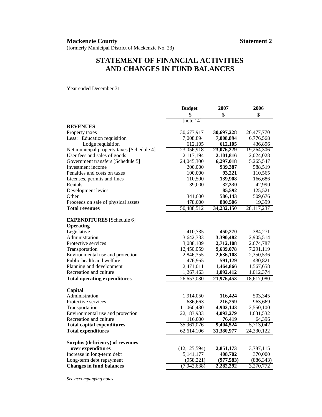# **STATEMENT OF FINANCIAL ACTIVITIES AND CHANGES IN FUND BALANCES**

Year ended December 31

|                                           | <b>Budget</b>  | 2007       | 2006       |
|-------------------------------------------|----------------|------------|------------|
|                                           | \$             | \$         | \$         |
|                                           | [note 14]      |            |            |
| <b>REVENUES</b>                           |                |            |            |
| Property taxes                            | 30,677,917     | 30,697,228 | 26,477,770 |
| Less: Education requisition               | 7,008,894      | 7,008,894  | 6,776,568  |
| Lodge requisition                         | 612,105        | 612,105    | 436,896    |
| Net municipal property taxes [Schedule 4] | 23,056,918     | 23,076,229 | 19,264,306 |
| User fees and sales of goods              | 2,117,194      | 2,101,816  | 2,024,028  |
| Government transfers [Schedule 5]         | 24,045,300     | 6,297,018  | 5,265,547  |
| Investment income                         | 200,000        | 939,387    | 588,519    |
| Penalties and costs on taxes              | 100,000        | 93,221     | 110,565    |
| Licenses, permits and fines               | 110,500        | 139,908    | 166,686    |
| Rentals                                   | 39,000         | 32,330     | 42,990     |
| Development levies                        |                | 85,592     | 125,521    |
| Other                                     | 341,600        | 586,143    | 509,676    |
| Proceeds on sale of physical assets       | 478,000        | 880,506    | 19,399     |
| <b>Total revenues</b>                     | 50,488,512     | 34,232,150 | 28,117,237 |
|                                           |                |            |            |
| <b>EXPENDITURES</b> [Schedule 6]          |                |            |            |
| Operating                                 |                |            |            |
| Legislative                               | 410,735        | 450,270    | 384,271    |
| Administration                            | 3,642,333      | 3,390,482  | 2,905,514  |
| Protective services                       | 3,088,109      | 2,712,108  | 2,674,787  |
| Transportation                            | 12,450,059     | 9,639,078  | 7,291,119  |
| Environmental use and protection          | 2,846,355      | 2,636,108  | 2,350,536  |
| Public health and welfare                 | 476,965        | 591,129    | 430,821    |
| Planning and development                  | 2,471,011      | 1,464,866  | 1,567,658  |
| Recreation and culture                    | 1,267,463      | 1,092,412  | 1,012,374  |
| <b>Total operating expenditures</b>       | 26,653,030     | 21,976,453 | 18,617,080 |
| Capital                                   |                |            |            |
| Administration                            | 1,914,050      | 116,424    | 503,345    |
| Protective services                       | 686,663        | 216,259    | 963,669    |
| Transportation                            | 11,060,430     | 4,902,143  | 2,550,100  |
| Environmental use and protection          | 22,183,933     | 4,093,279  | 1,631,532  |
| Recreation and culture                    | 116,000        | 76,419     | 64,396     |
| <b>Total capital expenditures</b>         | 35,961,076     | 9,404,524  | 5,713,042  |
| <b>Total expenditures</b>                 | 62,614,106     | 31,380,977 | 24,330,122 |
|                                           |                |            |            |
| Surplus (deficiency) of revenues          |                |            |            |
| over expenditures                         | (12, 125, 594) | 2,851,173  | 3,787,115  |
| Increase in long-term debt                | 5, 141, 177    | 408,702    | 370,000    |
| Long-term debt repayment                  | (958, 221)     | (977, 583) | (886, 343) |
| <b>Changes in fund balances</b>           | (7,942,638)    | 2,282,292  | 3,270,772  |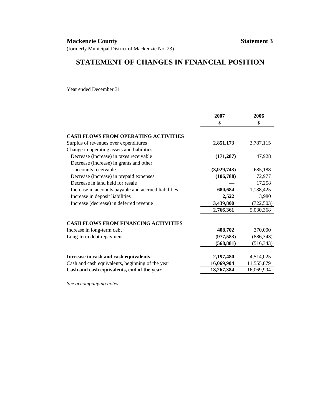### **Mackenzie County Statement 3**

(formerly Municipal District of Mackenzie No. 23)

# **STATEMENT OF CHANGES IN FINANCIAL POSITION**

Year ended December 31

|                                                      | 2007        | 2006       |
|------------------------------------------------------|-------------|------------|
|                                                      | \$          | \$         |
| <b>CASH FLOWS FROM OPERATING ACTIVITIES</b>          |             |            |
| Surplus of revenues over expenditures                | 2,851,173   | 3,787,115  |
| Change in operating assets and liabilities:          |             |            |
| Decrease (increase) in taxes receivable              | (171, 287)  | 47,928     |
| Decrease (increase) in grants and other              |             |            |
| accounts receivable                                  | (3,929,743) | 685,188    |
| Decrease (increase) in prepaid expenses              | (106, 788)  | 72,977     |
| Decrease in land held for resale                     |             | 17,258     |
| Increase in accounts payable and accrued liabilities | 680,684     | 1,138,425  |
| Increase in deposit liabilities                      | 2,522       | 3,980      |
| Increase (decrease) in deferred revenue              | 3,439,800   | (722, 503) |
|                                                      | 2,766,361   | 5,030,368  |
| <b>CASH FLOWS FROM FINANCING ACTIVITIES</b>          |             |            |
| Increase in long-term debt                           | 408,702     | 370,000    |
| Long-term debt repayment                             | (977, 583)  | (886, 343) |
|                                                      | (568, 881)  | (516, 343) |
|                                                      |             |            |
| Increase in cash and cash equivalents                | 2,197,480   | 4,514,025  |
| Cash and cash equivalents, beginning of the year     | 16,069,904  | 11,555,879 |
| Cash and cash equivalents, end of the year           | 18,267,384  | 16,069,904 |
|                                                      |             |            |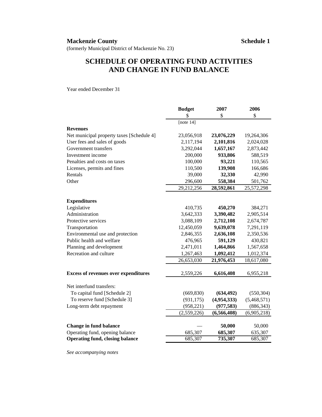# **SCHEDULE OF OPERATING FUND ACTIVITIES AND CHANGE IN FUND BALANCE**

Year ended December 31

|                                             | <b>Budget</b> | 2007          | 2006        |
|---------------------------------------------|---------------|---------------|-------------|
|                                             | \$            | \$            | \$          |
|                                             | [note $14$ ]  |               |             |
| <b>Revenues</b>                             |               |               |             |
| Net municipal property taxes [Schedule 4]   | 23,056,918    | 23,076,229    | 19,264,306  |
| User fees and sales of goods                | 2,117,194     | 2,101,816     | 2,024,028   |
| Government transfers                        | 3,292,044     | 1,657,167     | 2,873,442   |
| Investment income                           | 200,000       | 933,806       | 588,519     |
| Penalties and costs on taxes                | 100,000       | 93,221        | 110,565     |
| Licenses, permits and fines                 | 110,500       | 139,908       | 166,686     |
| Rentals                                     | 39,000        | 32,330        | 42,990      |
| Other                                       | 296,600       | 558,384       | 501,762     |
|                                             | 29,212,256    | 28,592,861    | 25,572,298  |
|                                             |               |               |             |
| <b>Expenditures</b>                         |               |               |             |
| Legislative                                 | 410,735       | 450,270       | 384,271     |
| Administration                              | 3,642,333     | 3,390,482     | 2,905,514   |
| Protective services                         | 3,088,109     | 2,712,108     | 2,674,787   |
| Transportation                              | 12,450,059    | 9,639,078     | 7,291,119   |
| Environmental use and protection            | 2,846,355     | 2,636,108     | 2,350,536   |
| Public health and welfare                   | 476,965       | 591,129       | 430,821     |
| Planning and development                    | 2,471,011     | 1,464,866     | 1,567,658   |
| Recreation and culture                      | 1,267,463     | 1,092,412     | 1,012,374   |
|                                             | 26,653,030    | 21,976,453    | 18,617,080  |
|                                             |               |               |             |
| <b>Excess of revenues over expenditures</b> | 2,559,226     | 6,616,408     | 6,955,218   |
| Net interfund transfers:                    |               |               |             |
| To capital fund [Schedule 2]                | (669, 830)    | (634, 492)    | (550, 304)  |
| To reserve fund [Schedule 3]                | (931, 175)    | (4,954,333)   | (5,468,571) |
| Long-term debt repayment                    | (958, 221)    | (977, 583)    | (886, 343)  |
|                                             | (2,559,226)   | (6, 566, 408) | (6,905,218) |
|                                             |               |               |             |
| <b>Change in fund balance</b>               |               | 50,000        | 50,000      |
| Operating fund, opening balance             | 685,307       | 685,307       | 635,307     |
| <b>Operating fund, closing balance</b>      | 685,307       | 735,307       | 685,307     |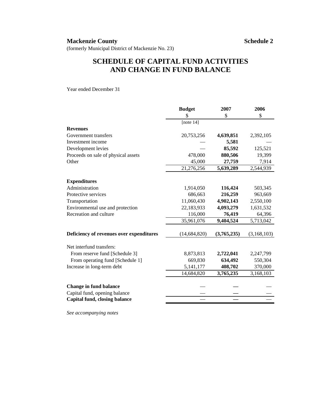# **SCHEDULE OF CAPITAL FUND ACTIVITIES AND CHANGE IN FUND BALANCE**

Year ended December 31

|                                          | <b>Budget</b>  | 2007        | 2006        |
|------------------------------------------|----------------|-------------|-------------|
|                                          | \$             | \$          | \$          |
|                                          | [note $14$ ]   |             |             |
| <b>Revenues</b>                          |                |             |             |
| Government transfers                     | 20,753,256     | 4,639,851   | 2,392,105   |
| Investment income                        |                | 5,581       |             |
| Development levies                       |                | 85,592      | 125,521     |
| Proceeds on sale of physical assets      | 478,000        | 880,506     | 19,399      |
| Other                                    | 45,000         | 27,759      | 7,914       |
|                                          | 21,276,256     | 5,639,289   | 2,544,939   |
| <b>Expenditures</b>                      |                |             |             |
| Administration                           | 1,914,050      | 116,424     | 503,345     |
| Protective services                      | 686,663        | 216,259     | 963,669     |
| Transportation                           | 11,060,430     | 4,902,143   | 2,550,100   |
| Environmental use and protection         | 22,183,933     | 4,093,279   | 1,631,532   |
| Recreation and culture                   | 116,000        | 76,419      | 64,396      |
|                                          | 35,961,076     | 9,404,524   | 5,713,042   |
| Deficiency of revenues over expenditures | (14, 684, 820) | (3,765,235) | (3,168,103) |
| Net interfund transfers:                 |                |             |             |
| From reserve fund [Schedule 3]           | 8,873,813      | 2,722,041   | 2,247,799   |
| From operating fund [Schedule 1]         | 669,830        | 634,492     | 550,304     |
| Increase in long-term debt               | 5, 141, 177    | 408,702     | 370,000     |
|                                          | 14,684,820     | 3,765,235   | 3,168,103   |
| <b>Change in fund balance</b>            |                |             |             |
| Capital fund, opening balance            |                |             |             |
| Capital fund, closing balance            |                |             |             |
|                                          |                |             |             |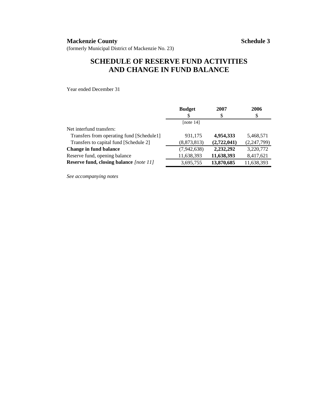# **SCHEDULE OF RESERVE FUND ACTIVITIES AND CHANGE IN FUND BALANCE**

Year ended December 31

|                                           | <b>Budget</b> | 2007        | 2006        |
|-------------------------------------------|---------------|-------------|-------------|
|                                           | \$            | \$          | \$          |
|                                           | [note $14$ ]  |             |             |
| Net interfund transfers:                  |               |             |             |
| Transfers from operating fund [Schedule1] | 931,175       | 4,954,333   | 5,468,571   |
| Transfers to capital fund [Schedule 2]    | (8,873,813)   | (2,722,041) | (2,247,799) |
| <b>Change in fund balance</b>             | (7,942,638)   | 2,232,292   | 3,220,772   |
| Reserve fund, opening balance             | 11,638,393    | 11,638,393  | 8,417,621   |
| Reserve fund, closing balance [note 11]   | 3,695,755     | 13,870,685  | 11,638,393  |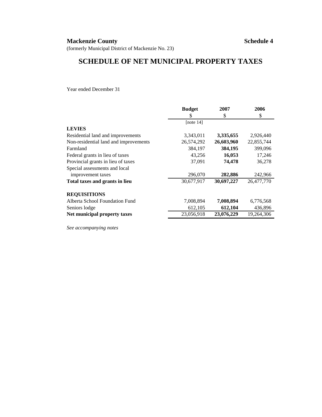### **Mackenzie County Schedule 4**

(formerly Municipal District of Mackenzie No. 23)

# **SCHEDULE OF NET MUNICIPAL PROPERTY TAXES**

Year ended December 31

|                                       | <b>Budget</b> | 2007       | 2006       |
|---------------------------------------|---------------|------------|------------|
|                                       | \$            | \$         | \$         |
|                                       | [note $14$ ]  |            |            |
| <b>LEVIES</b>                         |               |            |            |
| Residential land and improvements     | 3,343,011     | 3,335,655  | 2,926,440  |
| Non-residential land and improvements | 26,574,292    | 26,603,960 | 22,855,744 |
| Farmland                              | 384,197       | 384,195    | 399,096    |
| Federal grants in lieu of taxes       | 43,256        | 16,053     | 17,246     |
| Provincial grants in lieu of taxes    | 37,091        | 74,478     | 36,278     |
| Special assessments and local         |               |            |            |
| improvement taxes                     | 296,070       | 282,886    | 242,966    |
| Total taxes and grants in lieu        | 30,677,917    | 30,697,227 | 26,477,770 |
| <b>REQUISITIONS</b>                   |               |            |            |
| Alberta School Foundation Fund        | 7,008,894     | 7,008,894  | 6,776,568  |
| Seniors lodge                         | 612,105       | 612,104    | 436,896    |
| Net municipal property taxes          | 23,056,918    | 23,076,229 | 19,264,306 |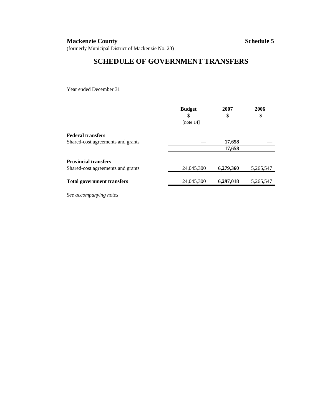## **Mackenzie County Schedule 5**

(formerly Municipal District of Mackenzie No. 23)

# **SCHEDULE OF GOVERNMENT TRANSFERS**

Year ended December 31

| <b>Budget</b><br>S | 2007<br>\$ | 2006<br>\$ |
|--------------------|------------|------------|
| [note $14$ ]       |            |            |
|                    |            |            |
|                    | 17,658     |            |
|                    | 17,658     |            |
|                    |            |            |
| 24,045,300         | 6,279,360  | 5,265,547  |
| 24,045,300         | 6,297,018  | 5,265,547  |
|                    |            |            |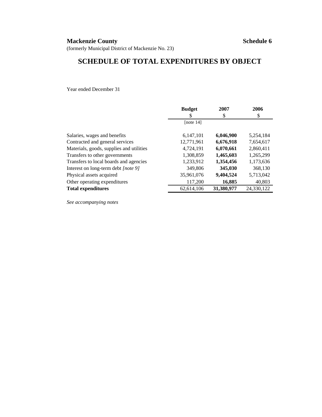### **Mackenzie County Schedule 6**

(formerly Municipal District of Mackenzie No. 23)

# **SCHEDULE OF TOTAL EXPENDITURES BY OBJECT**

Year ended December 31

|                                          | <b>Budget</b> | 2007       | 2006       |
|------------------------------------------|---------------|------------|------------|
|                                          | S             | \$         | \$         |
|                                          | [note 14]     |            |            |
| Salaries, wages and benefits             | 6.147.101     | 6,046,900  | 5,254,184  |
| Contracted and general services          | 12,771,961    | 6,676,918  | 7,654,617  |
| Materials, goods, supplies and utilities | 4,724,191     | 6,070,661  | 2,860,411  |
| Transfers to other governments           | 1,308,859     | 1,465,603  | 1,265,299  |
| Transfers to local boards and agencies   | 1,233,912     | 1,354,456  | 1,173,636  |
| Interest on long-term debt [note 9]      | 349,806       | 345,030    | 368,130    |
| Physical assets acquired                 | 35,961,076    | 9,404,524  | 5,713,042  |
| Other operating expenditures             | 117,200       | 16,885     | 40,803     |
| <b>Total expenditures</b>                | 62.614.106    | 31,380,977 | 24.330.122 |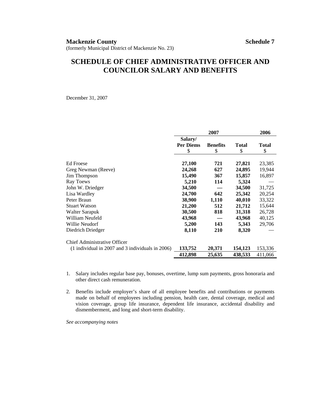# **SCHEDULE OF CHIEF ADMINISTRATIVE OFFICER AND COUNCILOR SALARY AND BENEFITS**

December 31, 2007

|                                                                               |                                   | 2007                  |                    | 2006        |
|-------------------------------------------------------------------------------|-----------------------------------|-----------------------|--------------------|-------------|
|                                                                               | Salary/<br><b>Per Diems</b><br>\$ | <b>Benefits</b><br>\$ | <b>Total</b><br>\$ | Total<br>\$ |
| <b>Ed Froese</b>                                                              | 27,100                            | 721                   | 27,821             | 23,385      |
| Greg Newman (Reeve)                                                           | 24,268                            | 627                   | 24,895             | 19,944      |
| Jim Thompson                                                                  | 15,490                            | 367                   | 15,857             | 16,897      |
| Ray Toews                                                                     | 5,210                             | 114                   | 5,324              |             |
| John W. Driedger                                                              | 34,500                            |                       | 34,500             | 31,725      |
| Lisa Wardley                                                                  | 24,700                            | 642                   | 25,342             | 20,254      |
| Peter Braun                                                                   | 38,900                            | 1,110                 | 40,010             | 33,322      |
| <b>Stuart Watson</b>                                                          | 21,200                            | 512                   | 21,712             | 15,644      |
| Walter Sarapuk                                                                | 30,500                            | 818                   | 31,318             | 26,728      |
| William Neufeld                                                               | 43,968                            |                       | 43,968             | 40,125      |
| Willie Neudorf                                                                | 5,200                             | 143                   | 5,343              | 29,706      |
| Diedrich Driedger                                                             | 8,110                             | 210                   | 8,320              |             |
| Chief Administrative Officer                                                  |                                   |                       |                    |             |
| $(1 \text{ individual in } 2007 \text{ and } 3 \text{ individuals in } 2006)$ | 133,752                           | 20,371                | 154,123            | 153,336     |
|                                                                               | 412,898                           | 25,635                | 438,533            | 411,066     |

- 1. Salary includes regular base pay, bonuses, overtime, lump sum payments, gross honoraria and other direct cash remuneration.
- 2. Benefits include employer's share of all employee benefits and contributions or payments made on behalf of employees including pension, health care, dental coverage, medical and vision coverage, group life insurance, dependent life insurance, accidental disability and dismemberment, and long and short-term disability.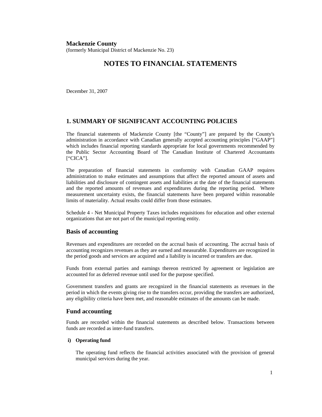**Mackenzie County**  (formerly Municipal District of Mackenzie No. 23)

### **NOTES TO FINANCIAL STATEMENTS**

December 31, 2007

### **1. SUMMARY OF SIGNIFICANT ACCOUNTING POLICIES**

The financial statements of Mackenzie County [the "County"] are prepared by the County's administration in accordance with Canadian generally accepted accounting principles ["GAAP"] which includes financial reporting standards appropriate for local governments recommended by the Public Sector Accounting Board of The Canadian Institute of Chartered Accountants ["CICA"].

The preparation of financial statements in conformity with Canadian GAAP requires administration to make estimates and assumptions that affect the reported amount of assets and liabilities and disclosure of contingent assets and liabilities at the date of the financial statements and the reported amounts of revenues and expenditures during the reporting period. Where measurement uncertainty exists, the financial statements have been prepared within reasonable limits of materiality. Actual results could differ from those estimates.

Schedule 4 - Net Municipal Property Taxes includes requisitions for education and other external organizations that are not part of the municipal reporting entity.

### **Basis of accounting**

Revenues and expenditures are recorded on the accrual basis of accounting. The accrual basis of accounting recognizes revenues as they are earned and measurable. Expenditures are recognized in the period goods and services are acquired and a liability is incurred or transfers are due.

Funds from external parties and earnings thereon restricted by agreement or legislation are accounted for as deferred revenue until used for the purpose specified.

Government transfers and grants are recognized in the financial statements as revenues in the period in which the events giving rise to the transfers occur, providing the transfers are authorized, any eligibility criteria have been met, and reasonable estimates of the amounts can be made.

### **Fund accounting**

Funds are recorded within the financial statements as described below. Transactions between funds are recorded as inter-fund transfers.

#### **i) Operating fund**

 The operating fund reflects the financial activities associated with the provision of general municipal services during the year.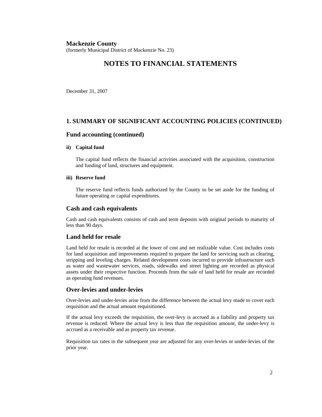(formerly Municipal District of Mackenzie No. 23)

### **NOTES TO FINANCIAL STATEMENTS**

December 31, 2007

### **1. SUMMARY OF SIGNIFICANT ACCOUNTING POLICIES (CONTINUED)**

#### **Fund accounting (continued)**

#### **ii) Capital fund**

 The capital fund reflects the financial activities associated with the acquisition, construction and funding of land, structures and equipment.

#### **iii) Reserve fund**

 The reserve fund reflects funds authorized by the County to be set aside for the funding of future operating or capital expenditures.

#### **Cash and cash equivalents**

Cash and cash equivalents consists of cash and term deposits with original periods to maturity of less than 90 days.

### **Land held for resale**

Land held for resale is recorded at the lower of cost and net realizable value. Cost includes costs for land acquisition and improvements required to prepare the land for servicing such as clearing, stripping and leveling charges. Related development costs incurred to provide infrastructure such as water and wastewater services, roads, sidewalks and street lighting are recorded as physical assets under their respective function. Proceeds from the sale of land held for resale are recorded as operating fund revenues.

### **Over-levies and under-levies**

Over-levies and under-levies arise from the difference between the actual levy made to cover each requisition and the actual amount requisitioned.

If the actual levy exceeds the requisition, the over-levy is accrued as a liability and property tax revenue is reduced. Where the actual levy is less than the requisition amount, the under-levy is accrued as a receivable and as property tax revenue.

Requisition tax rates in the subsequent year are adjusted for any over-levies or under-levies of the prior year.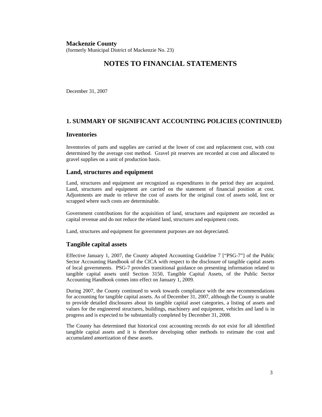#### **Mackenzie County**  (formerly Municipal District of Mackenzie No. 23)

## **NOTES TO FINANCIAL STATEMENTS**

December 31, 2007

### **1. SUMMARY OF SIGNIFICANT ACCOUNTING POLICIES (CONTINUED)**

### **Inventories**

Inventories of parts and supplies are carried at the lower of cost and replacement cost, with cost determined by the average cost method. Gravel pit reserves are recorded at cost and allocated to gravel supplies on a unit of production basis.

### **Land, structures and equipment**

Land, structures and equipment are recognized as expenditures in the period they are acquired. Land, structures and equipment are carried on the statement of financial position at cost. Adjustments are made to relieve the cost of assets for the original cost of assets sold, lost or scrapped where such costs are determinable.

Government contributions for the acquisition of land, structures and equipment are recorded as capital revenue and do not reduce the related land, structures and equipment costs.

Land, structures and equipment for government purposes are not depreciated.

### **Tangible capital assets**

Effective January 1, 2007, the County adopted Accounting Guideline 7 ["PSG-7"] of the Public Sector Accounting Handbook of the CICA with respect to the disclosure of tangible capital assets of local governments. PSG-7 provides transitional guidance on presenting information related to tangible capital assets until Section 3150, Tangible Capital Assets, of the Public Sector Accounting Handbook comes into effect on January 1, 2009.

During 2007, the County continued to work towards compliance with the new recommendations for accounting for tangible capital assets. As of December 31, 2007, although the County is unable to provide detailed disclosures about its tangible capital asset categories, a listing of assets and values for the engineered structures, buildings, machinery and equipment, vehicles and land is in progress and is expected to be substantially completed by December 31, 2008.

The County has determined that historical cost accounting records do not exist for all identified tangible capital assets and it is therefore developing other methods to estimate the cost and accumulated amortization of these assets.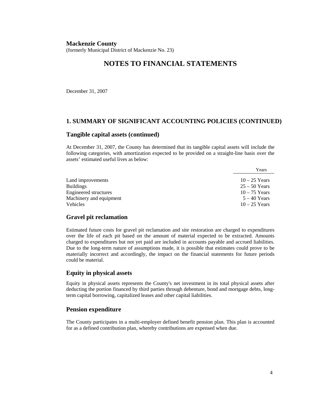(formerly Municipal District of Mackenzie No. 23)

### **NOTES TO FINANCIAL STATEMENTS**

December 31, 2007

### **1. SUMMARY OF SIGNIFICANT ACCOUNTING POLICIES (CONTINUED)**

#### **Tangible capital assets (continued)**

At December 31, 2007, the County has determined that its tangible capital assets will include the following categories, with amortization expected to be provided on a straight-line basis over the assets' estimated useful lives as below:

| Years           |
|-----------------|
| $10-25$ Years   |
| $25 - 50$ Years |
| $10-75$ Years   |
| $5 - 40$ Years  |
| $10 - 25$ Years |
|                 |

### **Gravel pit reclamation**

Estimated future costs for gravel pit reclamation and site restoration are charged to expenditures over the life of each pit based on the amount of material expected to be extracted. Amounts charged to expenditures but not yet paid are included in accounts payable and accrued liabilities. Due to the long-term nature of assumptions made, it is possible that estimates could prove to be materially incorrect and accordingly, the impact on the financial statements for future periods could be material.

#### **Equity in physical assets**

Equity in physical assets represents the County's net investment in its total physical assets after deducting the portion financed by third parties through debenture, bond and mortgage debts, longterm capital borrowing, capitalized leases and other capital liabilities.

#### **Pension expenditure**

The County participates in a multi-employer defined benefit pension plan. This plan is accounted for as a defined contribution plan, whereby contributions are expensed when due.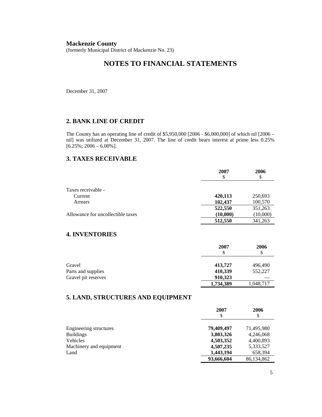(formerly Municipal District of Mackenzie No. 23)

# **NOTES TO FINANCIAL STATEMENTS**

December 31, 2007

### **2. BANK LINE OF CREDIT**

The County has an operating line of credit of \$5,950,000 [2006 - \$6,000,000] of which nil [2006 – nil] was utilized at December 31, 2007. The line of credit bears interest at prime less 0.25%  $[6.25\%; 2006 - 6.00\%].$ 

### **3. TAXES RECEIVABLE**

|                                   | 2007<br>\$ | 2006<br>\$ |
|-----------------------------------|------------|------------|
|                                   |            |            |
| Taxes receivable -                |            |            |
| Current                           | 420,113    | 250,693    |
| Arrears                           | 102,437    | 100,570    |
|                                   | 522,550    | 351,263    |
| Allowance for uncollectible taxes | (10,000)   | (10,000)   |
|                                   | 512,550    | 341,263    |

### **4. INVENTORIES**

|                     | 2007<br>S | 2006<br>\$ |
|---------------------|-----------|------------|
| Gravel              | 413,727   | 496,490    |
| Parts and supplies  | 410,339   | 552,227    |
| Gravel pit reserves | 910,323   |            |
|                     | 1,734,389 | 1,048,717  |

### **5. LAND, STRUCTURES AND EQUIPMENT**

|                         | 2007<br>\$ | 2006<br>\$ |
|-------------------------|------------|------------|
| Engineering structures  | 79,409,497 | 71,495,980 |
| <b>Buildings</b>        | 3,803,326  | 4,246,068  |
| Vehicles                | 4,503,352  | 4,400,893  |
| Machinery and equipment | 4,507,235  | 5,333,527  |
| Land                    | 1,443,194  | 658,394    |
|                         | 93,666,604 | 86,134,862 |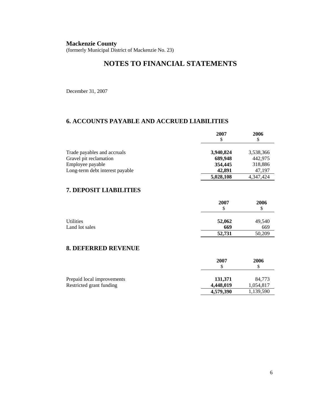(formerly Municipal District of Mackenzie No. 23)

# **NOTES TO FINANCIAL STATEMENTS**

December 31, 2007

### **6. ACCOUNTS PAYABLE AND ACCRUED LIABILITIES**

|                                 | 2007      | 2006      |
|---------------------------------|-----------|-----------|
|                                 |           |           |
| Trade payables and accruals     | 3,940,824 | 3,538,366 |
| Gravel pit reclamation          | 689,948   | 442,975   |
| Employee payable                | 354,445   | 318,886   |
| Long-term debt interest payable | 42,891    | 47,197    |
|                                 | 5,028,108 | 4,347,424 |

### **7. DEPOSIT LIABILITIES**

|                  | 2007<br>\$ | 2006<br>\$ |
|------------------|------------|------------|
| <b>Utilities</b> | 52,062     | 49,540     |
| Land lot sales   | 669        | 669        |
|                  | 52,731     | 50,209     |

### **8. DEFERRED REVENUE**

|                            | 2007      | 2006      |
|----------------------------|-----------|-----------|
| Prepaid local improvements | 131.371   | 84.773    |
| Restricted grant funding   | 4.448,019 | 1,054,817 |
|                            | 4,579,390 | 1,139,590 |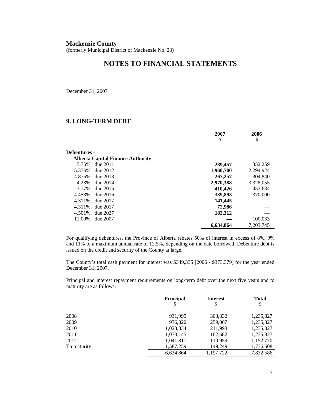(formerly Municipal District of Mackenzie No. 23)

### **NOTES TO FINANCIAL STATEMENTS**

December 31, 2007

### **9. LONG-TERM DEBT**

|                                          | 2007      | 2006      |
|------------------------------------------|-----------|-----------|
|                                          | \$        | \$        |
| Debentures -                             |           |           |
| <b>Alberta Capital Finance Authority</b> |           |           |
| 5.75%, due 2011                          | 289,457   | 352,259   |
| 5.375%, due 2012                         | 1,960,700 | 2,294,924 |
| 4.875%, due 2013                         | 267,257   | 304,840   |
| 4.23%, due 2014                          | 2,970,388 | 3,328,055 |
| 3.77%, due 2015                          | 410,426   | 453,634   |
| 4.453%, due 2016                         | 339,893   | 370,000   |
| 4.311%, due 2017                         | 141,445   |           |
| 4.311%, due 2017                         | 72,986    |           |
| 4.501%, due 2027                         | 182,312   |           |
| 12.00%, due 2007                         |           | 100,033   |
|                                          | 6.634.864 | 7,203,745 |

For qualifying debentures, the Province of Alberta rebates 50% of interest in excess of 8%, 9% and 11% to a maximum annual rate of 12.5%, depending on the date borrowed. Debenture debt is issued on the credit and security of the County at large.

The County's total cash payment for interest was \$349,335 [2006 - \$373,379] for the year ended December 31, 2007.

Principal and interest repayment requirements on long-term debt over the next five years and to maturity are as follows:

|             | <b>Principal</b> | <b>Interest</b><br>\$ | <b>Total</b><br>\$ |
|-------------|------------------|-----------------------|--------------------|
|             |                  |                       |                    |
| 2008        | 931,995          | 303,832               | 1,235,827          |
| 2009        | 976,820          | 259,007               | 1,235,827          |
| 2010        | 1,023,834        | 211,993               | 1,235,827          |
| 2011        | 1,073,145        | 162,682               | 1,235,827          |
| 2012        | 1,041,811        | 110,959               | 1,152,770          |
| To maturity | 1,587,259        | 149,249               | 1,736,508          |
|             | 6,634,864        | 1,197,722             | 7,832,586          |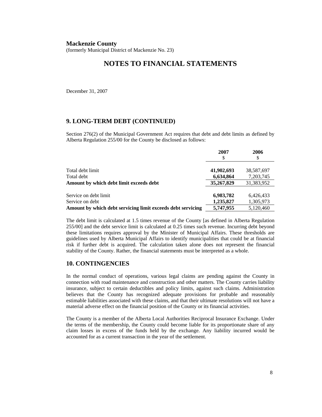(formerly Municipal District of Mackenzie No. 23)

### **NOTES TO FINANCIAL STATEMENTS**

December 31, 2007

### **9. LONG-TERM DEBT (CONTINUED)**

Section 276(2) of the Municipal Government Act requires that debt and debt limits as defined by Alberta Regulation 255/00 for the County be disclosed as follows:

|                                                             | 2007<br>S               | 2006                    |
|-------------------------------------------------------------|-------------------------|-------------------------|
| Total debt limit<br>Total debt                              | 41,902,693<br>6,634,864 | 38,587,697<br>7,203,745 |
| Amount by which debt limit exceeds debt                     | 35,267,829              | 31,383,952              |
| Service on debt limit<br>Service on debt                    | 6,983,782<br>1,235,827  | 6,426,433<br>1,305,973  |
| Amount by which debt servicing limit exceeds debt servicing | 5,747,955               | 5,120,460               |

The debt limit is calculated at 1.5 times revenue of the County [as defined in Alberta Regulation 255/00] and the debt service limit is calculated at 0.25 times such revenue. Incurring debt beyond these limitations requires approval by the Minister of Municipal Affairs. These thresholds are guidelines used by Alberta Municipal Affairs to identify municipalities that could be at financial risk if further debt is acquired. The calculation taken alone does not represent the financial stability of the County. Rather, the financial statements must be interpreted as a whole.

### **10. CONTINGENCIES**

In the normal conduct of operations, various legal claims are pending against the County in connection with road maintenance and construction and other matters. The County carries liability insurance, subject to certain deductibles and policy limits, against such claims. Administration believes that the County has recognized adequate provisions for probable and reasonably estimable liabilities associated with these claims, and that their ultimate resolutions will not have a material adverse effect on the financial position of the County or its financial activities.

The County is a member of the Alberta Local Authorities Reciprocal Insurance Exchange. Under the terms of the membership, the County could become liable for its proportionate share of any claim losses in excess of the funds held by the exchange. Any liability incurred would be accounted for as a current transaction in the year of the settlement.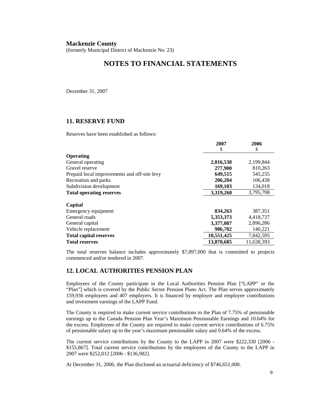(formerly Municipal District of Mackenzie No. 23)

### **NOTES TO FINANCIAL STATEMENTS**

December 31, 2007

### **11. RESERVE FUND**

Reserves have been established as follows:

|                                              | 400 L      | ∠vvv       |
|----------------------------------------------|------------|------------|
|                                              | S          | \$         |
| <b>Operating</b>                             |            |            |
| General operating                            | 2,016,538  | 2,199,844  |
| Gravel reserve                               | 277,900    | 810,263    |
| Prepaid local improvements and off-site levy | 649,515    | 545,235    |
| Recreation and parks                         | 206,204    | 106,438    |
| Subdivision development                      | 169,103    | 134,018    |
| <b>Total operating reserves</b>              | 3,319,260  | 3,795,798  |
|                                              |            |            |
| Capital                                      |            |            |
| Emergency equipment                          | 834,263    | 387,351    |
| General roads                                | 5,353,373  | 4,418,737  |
| General capital                              | 3,377,087  | 2,896,286  |
| Vehicle replacement                          | 986,702    | 140,221    |
| <b>Total capital reserves</b>                | 10,551,425 | 7,842,595  |
| <b>Total reserves</b>                        | 13,870,685 | 11,638,393 |

The total reserves balance includes approximately \$7,097,000 that is committed to projects commenced and/or tendered in 2007.

### **12. LOCAL AUTHORITIES PENSION PLAN**

Employees of the County participate in the Local Authorities Pension Plan ["LAPP" or the "Plan"] which is covered by the Public Sector Pension Plans Act. The Plan serves approximately 159,936 employees and 407 employers. It is financed by employer and employee contributions and investment earnings of the LAPP Fund.

The County is required to make current service contributions to the Plan of 7.75% of pensionable earnings up to the Canada Pension Plan Year's Maximum Pensionable Earnings and 10.64% for the excess. Employees of the County are required to make current service contributions of 6.75% of pensionable salary up to the year's maximum pensionable salary and 9.64% of the excess.

The current service contributions by the County to the LAPP in 2007 were \$222,330 [2006 - \$155,867]. Total current service contributions by the employees of the County to the LAPP in 2007 were \$252,012 [2006 - \$136,982].

At December 31, 2006, the Plan disclosed an actuarial deficiency of \$746,651,000.

**2007 2006**